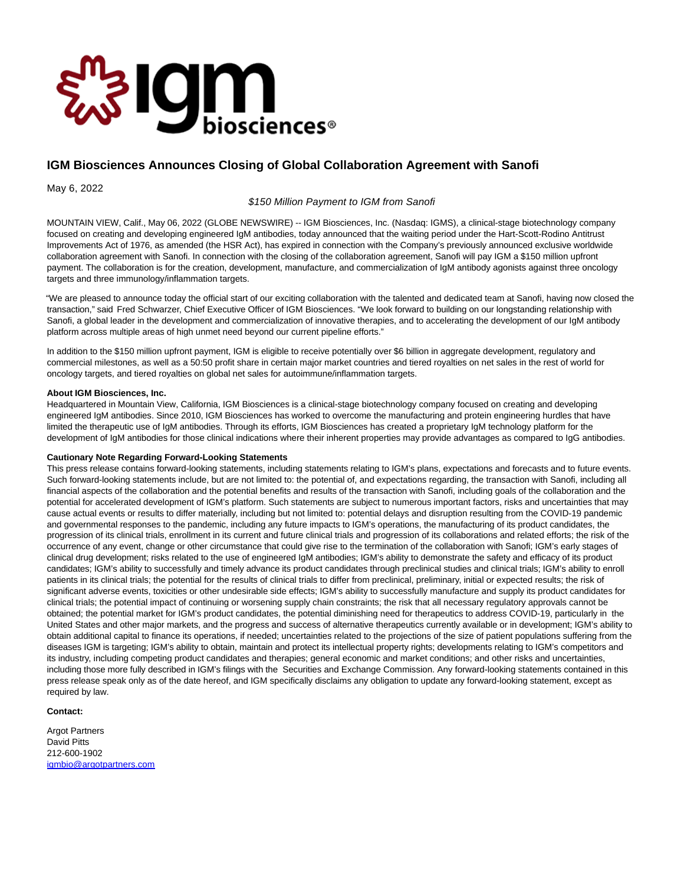

## **IGM Biosciences Announces Closing of Global Collaboration Agreement with Sanofi**

May 6, 2022

\$150 Million Payment to IGM from Sanofi

MOUNTAIN VIEW, Calif., May 06, 2022 (GLOBE NEWSWIRE) -- IGM Biosciences, Inc. (Nasdaq: IGMS), a clinical-stage biotechnology company focused on creating and developing engineered IgM antibodies, today announced that the waiting period under the Hart-Scott-Rodino Antitrust Improvements Act of 1976, as amended (the HSR Act), has expired in connection with the Company's previously announced exclusive worldwide collaboration agreement with Sanofi. In connection with the closing of the collaboration agreement, Sanofi will pay IGM a \$150 million upfront payment. The collaboration is for the creation, development, manufacture, and commercialization of IgM antibody agonists against three oncology targets and three immunology/inflammation targets.

"We are pleased to announce today the official start of our exciting collaboration with the talented and dedicated team at Sanofi, having now closed the transaction," said Fred Schwarzer, Chief Executive Officer of IGM Biosciences. "We look forward to building on our longstanding relationship with Sanofi, a global leader in the development and commercialization of innovative therapies, and to accelerating the development of our IgM antibody platform across multiple areas of high unmet need beyond our current pipeline efforts."

In addition to the \$150 million upfront payment, IGM is eligible to receive potentially over \$6 billion in aggregate development, regulatory and commercial milestones, as well as a 50:50 profit share in certain major market countries and tiered royalties on net sales in the rest of world for oncology targets, and tiered royalties on global net sales for autoimmune/inflammation targets.

## **About IGM Biosciences, Inc.**

Headquartered in Mountain View, California, IGM Biosciences is a clinical-stage biotechnology company focused on creating and developing engineered IgM antibodies. Since 2010, IGM Biosciences has worked to overcome the manufacturing and protein engineering hurdles that have limited the therapeutic use of IgM antibodies. Through its efforts, IGM Biosciences has created a proprietary IgM technology platform for the development of IgM antibodies for those clinical indications where their inherent properties may provide advantages as compared to IgG antibodies.

## **Cautionary Note Regarding Forward-Looking Statements**

This press release contains forward-looking statements, including statements relating to IGM's plans, expectations and forecasts and to future events. Such forward-looking statements include, but are not limited to: the potential of, and expectations regarding, the transaction with Sanofi, including all financial aspects of the collaboration and the potential benefits and results of the transaction with Sanofi, including goals of the collaboration and the potential for accelerated development of IGM's platform. Such statements are subject to numerous important factors, risks and uncertainties that may cause actual events or results to differ materially, including but not limited to: potential delays and disruption resulting from the COVID-19 pandemic and governmental responses to the pandemic, including any future impacts to IGM's operations, the manufacturing of its product candidates, the progression of its clinical trials, enrollment in its current and future clinical trials and progression of its collaborations and related efforts; the risk of the occurrence of any event, change or other circumstance that could give rise to the termination of the collaboration with Sanofi; IGM's early stages of clinical drug development; risks related to the use of engineered IgM antibodies; IGM's ability to demonstrate the safety and efficacy of its product candidates; IGM's ability to successfully and timely advance its product candidates through preclinical studies and clinical trials; IGM's ability to enroll patients in its clinical trials; the potential for the results of clinical trials to differ from preclinical, preliminary, initial or expected results; the risk of significant adverse events, toxicities or other undesirable side effects; IGM's ability to successfully manufacture and supply its product candidates for clinical trials; the potential impact of continuing or worsening supply chain constraints; the risk that all necessary regulatory approvals cannot be obtained; the potential market for IGM's product candidates, the potential diminishing need for therapeutics to address COVID-19, particularly in the United States and other major markets, and the progress and success of alternative therapeutics currently available or in development; IGM's ability to obtain additional capital to finance its operations, if needed; uncertainties related to the projections of the size of patient populations suffering from the diseases IGM is targeting; IGM's ability to obtain, maintain and protect its intellectual property rights; developments relating to IGM's competitors and its industry, including competing product candidates and therapies; general economic and market conditions; and other risks and uncertainties, including those more fully described in IGM's filings with the Securities and Exchange Commission. Any forward-looking statements contained in this press release speak only as of the date hereof, and IGM specifically disclaims any obligation to update any forward-looking statement, except as required by law.

## **Contact:**

Argot Partners David Pitts 212-600-1902 [igmbio@argotpartners.com](https://www.globenewswire.com/Tracker?data=EMRIQg1JLhPyVpGPx1ZFFs-WH63ooYtrS5l0nkZwrR7bvClElVhBT1dk2LV_-irBRYut3eNuaDYfX4I5uESxndKEssqLUKR8UBLmbQQgS3w=)